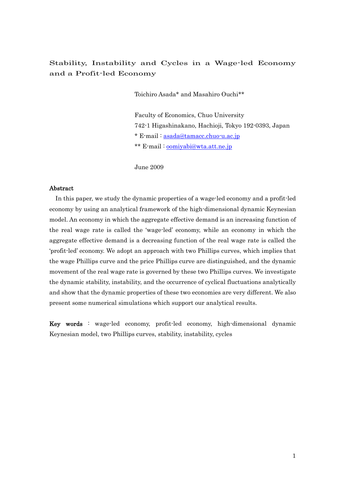# Stability, Instability and Cycles in a Wage-led Economy and a Profit-led Economy

Toichiro Asada\* and Masahiro Ouchi\*\*

Faculty of Economics, Chuo University 742-1 Higashinakano, Hachioji, Tokyo 192-0393, Japan \* E-mail : [asada@tamacc.chuo-u.ac.jp](mailto:asada@tamacc.chuo-u.ac.jp) \*\* E-mail : [oomiyabi@wta.att.ne.jp](mailto:oomiyabi@wta.att.ne.jp)

June 2009

## Abstract

In this paper, we study the dynamic properties of a wage-led economy and a profit-led economy by using an analytical framework of the high-dimensional dynamic Keynesian model. An economy in which the aggregate effective demand is an increasing function of the real wage rate is called the 'wage-led' economy, while an economy in which the aggregate effective demand is a decreasing function of the real wage rate is called the 'profit-led' economy. We adopt an approach with two Phillips curves, which implies that the wage Phillips curve and the price Phillips curve are distinguished, and the dynamic movement of the real wage rate is governed by these two Phillips curves. We investigate the dynamic stability, instability, and the occurrence of cyclical fluctuations analytically and show that the dynamic properties of these two economies are very different. We also present some numerical simulations which support our analytical results.

Key words : wage-led economy, profit-led economy, high-dimensional dynamic Keynesian model, two Phillips curves, stability, instability, cycles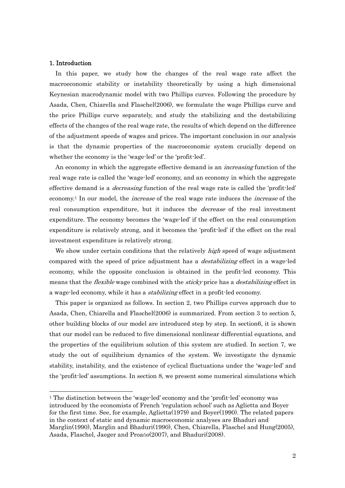### 1. Introduction

 $\overline{a}$ 

In this paper, we study how the changes of the real wage rate affect the macroeconomic stability or instability theoretically by using a high dimensional Keynesian macrodynamic model with two Phillips curves. Following the procedure by Asada, Chen, Chiarella and Flaschel(2006), we formulate the wage Phillips curve and the price Phillips curve separately, and study the stabilizing and the destabilizing effects of the changes of the real wage rate, the results of which depend on the difference of the adjustment speeds of wages and prices. The important conclusion in our analysis is that the dynamic properties of the macroeconomic system crucially depend on whether the economy is the 'wage-led' or the 'profit-led'.

An economy in which the aggregate effective demand is an *increasing* function of the real wage rate is called the 'wage-led' economy, and an economy in which the aggregate effective demand is a *decreasing* function of the real wage rate is called the 'profit-led' economy.<sup>1</sup> In our model, the *increase* of the real wage rate induces the *increase* of the real consumption expenditure, but it induces the *decrease* of the real investment expenditure. The economy becomes the 'wage-led' if the effect on the real consumption expenditure is relatively strong, and it becomes the 'profit-led' if the effect on the real investment expenditure is relatively strong.

We show under certain conditions that the relatively *high* speed of wage adjustment compared with the speed of price adjustment has a *destabilizing* effect in a wage-led economy, while the opposite conclusion is obtained in the profit-led economy. This means that the *flexible* wage combined with the *sticky* price has a *destabilizing* effect in a wage-led economy, while it has a *stabilizing* effect in a profit-led economy.

This paper is organized as follows. In section 2, two Phillips curves approach due to Asada, Chen, Chiarella and Flaschel(2006) is summarized. From section 3 to section 5, other building blocks of our model are introduced step by step. In section6, it is shown that our model can be reduced to five dimensional nonlinear differential equations, and the properties of the equilibrium solution of this system are studied. In section 7, we study the out of equilibrium dynamics of the system. We investigate the dynamic stability, instability, and the existence of cyclical fluctuations under the 'wage-led' and the 'profit-led' assumptions. In section 8, we present some numerical simulations which

<span id="page-1-0"></span><sup>1</sup> The distinction between the 'wage-led' economy and the 'profit-led' economy was introduced by the economists of French 'regulation school' such as Aglietta and Boyer for the first time. See, for example, Aglietta(1979) and Boyer(1990). The related papers in the context of static and dynamic macroeconomic analyses are Bhaduri and Marglin(1990), Marglin and Bhaduri(1990), Chen, Chiarella, Flaschel and Hung(2005), Asada, Flaschel, Jaeger and Proańo(2007), and Bhaduri(2008).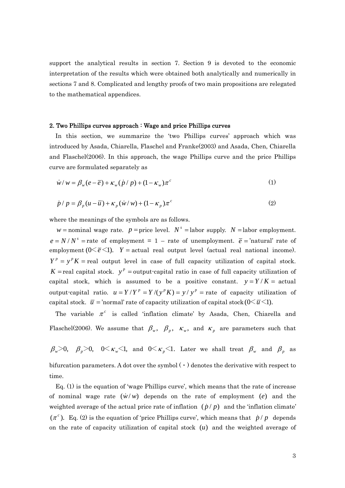support the analytical results in section 7. Section 9 is devoted to the economic interpretation of the results which were obtained both analytically and numerically in sections 7 and 8. Complicated and lengthy proofs of two main propositions are relegated to the mathematical appendices.

#### 2. Two Phillips curves approach : Wage and price Phillips curves

In this section, we summarize the 'two Phillips curves' approach which was introduced by Asada, Chiarella, Flaschel and Franke(2003) and Asada, Chen, Chiarella and Flaschel(2006). In this approach, the wage Phillips curve and the price Phillips curve are formulated separately as

$$
\dot{w}/w = \beta_w(e - \overline{e}) + \kappa_w(\dot{p}/p) + (1 - \kappa_w)\pi^c
$$
 (1)

$$
\dot{p}/p = \beta_p (u - \overline{u}) + \kappa_p (w/w) + (1 - \kappa_p) \pi^c
$$
 (2)

where the meanings of the symbols are as follows.

time.

*w* = nominal wage rate. *p* = price level.  $N^s$  = labor supply. *N* = labor employment.  $e = N/N^s$  = rate of employment = 1 – rate of unemployment.  $\bar{e}$  = 'natural' rate of employment  $(0 \le \bar{e} \le 1)$ .  $Y = actual$  real output level (actual real national income).  $Y^p = y^p K$  = real output level in case of full capacity utilization of capital stock.  $K$  = real capital stock.  $y^p$  = output-capital ratio in case of full capacity utilization of capital stock, which is assumed to be a positive constant.  $y = Y/K =$  actual output-capital ratio.  $u = Y/Y^p = Y/(y^p K) = y/y^p$  = rate of capacity utilization of capital stock.  $\bar{u}$  = 'normal' rate of capacity utilization of capital stock ( $0<\bar{u}<1$ ).

The variable  $\pi^c$  is called 'inflation climate' by Asada, Chen, Chiarella and Flaschel(2006). We assume that  $\beta_w$ ,  $\beta_p$ ,  $\kappa_w$ , and  $\kappa_p$  are parameters such that

 $\beta_{w} > 0$ ,  $\beta_{p} > 0$ ,  $0 < \kappa_{w} < 1$ , and  $0 < \kappa_{p} < 1$ . Later we shall treat  $\beta_{w}$  and  $\beta_{p}$  as bifurcation parameters. A dot over the symbol  $(\cdot)$  denotes the derivative with respect to

 $Eq. (1)$  is the equation of 'wage Phillips curve', which means that the rate of increase of nominal wage rate  $(w/w)$  depends on the rate of employment (*e*) and the weighted average of the actual price rate of inflation  $(\dot{p}/p)$  and the 'inflation climate'  $(\pi^c)$ . Eq. (2) is the equation of 'price Phillips curve', which means that  $\dot{p}/p$  depends on the rate of capacity utilization of capital stock  $(u)$  and the weighted average of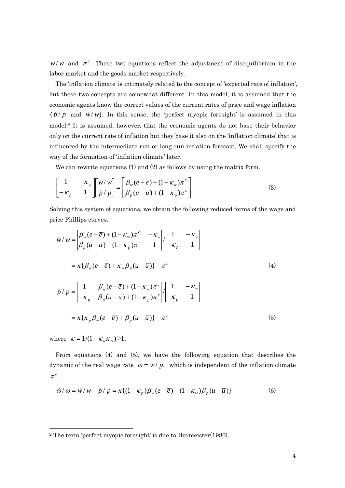$\dot{w}/w$  and  $\pi^c$ . These two equations reflect the adjustment of disequilibrium in the labor market and the goods market respectively.

The 'inflation climate' is intimately related to the concept of 'expected rate of inflation', bu t these two concepts are somewhat different. In this model, it is assumed that the model.<sup>2</sup> It is assumed, however, that the economic agents do not base their behavior economic agents know the correct values of the current rates of price and wage inflation  $(\dot{p}/p)$  and  $\dot{w}/w$ ). In this sense, the 'perfect myopic foresight' is assumed in this only on the current rate of inflation but they base it also on the 'inflation climate' that is influenced by the intermediate run or long run inflation forecast. We shall specify the way of the formation of 'inflation climate' later.

We can rewrite equations  $(1)$  and  $(2)$  as follows by using the matrix form.

$$
\begin{bmatrix} 1 & -\kappa_w \\ -\kappa_p & 1 \end{bmatrix} \begin{bmatrix} \dot{w}/w \\ \dot{p}/p \end{bmatrix} = \begin{bmatrix} \beta_w(e-\overline{e}) + (1-\kappa_w)\pi^c \\ \beta_p(u-\overline{u}) + (1-\kappa_p)\pi^c \end{bmatrix}
$$
(3)

Solving this system of equations, we obtain the following reduced forms of the wage and price Phillips curves.

$$
\dot{w}/w = \begin{vmatrix} \beta_w(e-\overline{e}) + (1 - \kappa_w)\pi^c & -\kappa_w \\ \beta_p(u-\overline{u}) + (1 - \kappa_p)\pi^c & 1 \end{vmatrix} \begin{vmatrix} 1 & -\kappa_w \\ -\kappa_p & 1 \end{vmatrix}
$$

$$
= \kappa \{\beta_w(e-\overline{e}) + \kappa_w \beta_p(u-\overline{u})\} + \pi^c
$$
(4)
$$
\dot{p}/p = \begin{vmatrix} 1 & \beta_w(e-\overline{e}) + (1 - \kappa_w)\pi^c \\ -\kappa_p & \beta_p(u-\overline{u}) + (1 - \kappa_p)\pi^c \end{vmatrix} \begin{vmatrix} 1 & -\kappa_w \\ -\kappa_p & 1 \end{vmatrix}
$$

$$
= \kappa \{\kappa_p \beta_w(e-\overline{e}) + \beta_p(u-\overline{u})\} + \pi^c
$$
(5)

where  $\kappa = 1/(1 - \kappa_w \kappa_p) > 1$ .

From equations (4) and (5), we have the following equation that describes the dynamic of the real wage rate  $\omega = w/p$ , which is independent of the inflation climate  $\pi^c$ .

$$
\dot{\omega}/\omega = \dot{w}/w - \dot{p}/p = \kappa \{ (1 - \kappa_p) \beta_w (e - \overline{e}) - (1 - \kappa_w) \beta_p (u - \overline{u}) \}
$$
(6)

<span id="page-3-0"></span> <sup>2</sup> The term 'perfect myopic foresight' is due to Burmeister(1980).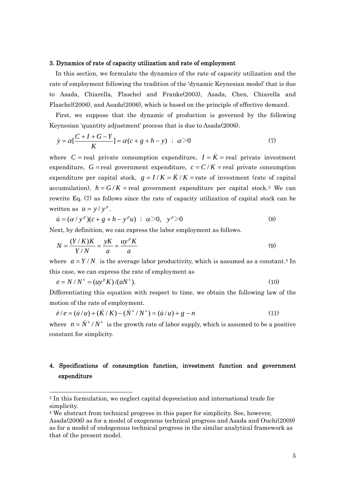### 3. Dynamics of rate of capacity utilization and rate of employment

In this section, we formulate the dynamics of the rate of capacity utilization and the rate of employment following the tradition of the 'dynamic Keynesian model' that is due to Asada, Chiarella, Flaschel and Franke(2003), Asada, Chen, Chiarella and Flaschel(2006), and Asada(2006), which is based on the principle of effective demand.

First, we suppose that the dynamic of production is governed by the following Keynesian 'quantity adjustment' process that is due to Asada(2006).

$$
\dot{y} = \alpha \left[ \frac{C + I + G - Y}{K} \right] = \alpha (c + g + h - y) \; ; \; \alpha > 0 \tag{7}
$$

where  $C$  = real private consumption expenditure,  $I = \dot{K}$  = real private investment expenditure,  $G$  = real government expenditure,  $c = C/K$  = real private consumption expenditure per capital stock,  $g = I/K = \dot{K}/K$  = rate of investment (rate of capital accumulation),  $h = G/K$  = real government expenditure per capital stock.<sup>3</sup> We can rewrite Eq. (7) as follows since the rate of capacity utilization of capital stock can be written as  $u = y / y^p$ .

$$
\dot{u} = (\alpha / y^{p})(c + g + h - y^{p}u) \; ; \; \alpha > 0, \; y^{p} > 0 \tag{8}
$$

Next, by definition, we can express the labor employment as follows.

$$
N = \frac{(Y/K)K}{Y/N} = \frac{yK}{a} = \frac{uy^{p}K}{a}
$$
\n(9)

where  $a = Y/N$  is the average labor productivity, which is assumed as a constant.<sup>4</sup> In this case, we can express the rate of employment as

$$
e = N/Ns = (uyp K)/(aNs).
$$
 (10)

Differentiating this equation with respect to time, we obtain the following law of the motion of the rate of employment.

$$
\dot{e}/e = (\dot{u}/u) + (\dot{K}/K) - (\dot{N}^s/N^s) = (\dot{u}/u) + g - n \tag{11}
$$

where  $n = N^s / N^s$  is the growth rate of labor supply, which is assumed to be a positive constant for simplicity.

## . Specifications of consumption function, investment function and government 4 expenditure

 $\overline{a}$ 

<span id="page-4-0"></span><sup>3</sup> In this formulation, we neglect capital depreciation and international trade for simplicity.

<span id="page-4-1"></span><sup>4</sup> We abstract from technical progress in this paper for simplicity. See, however,

Asada(2006) as for a model of exogenous technical progress and Asada and Ouchi(2009) as for a model of endogenous technical progress in the similar analytical framework as that of the present model.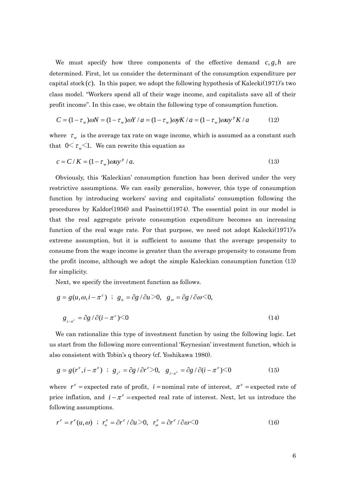We must specify how three components of the effective demand  $c, g, h$  are determined. First, let us consider the determinant of the consumption expenditure per capital stock  $(c)$ . In this paper, we adopt the following hypothesis of Kalecki(1971)'s two class model. "Workers spend all of their wage income, and capitalists save all of their profit income". In this case, we obtain the following type of consumption function.

$$
C = (1 - \tau_w)\omega N = (1 - \tau_w)\omega Y / a = (1 - \tau_w)\omega y K / a = (1 - \tau_w)\omega y^p K / a \qquad (12)
$$

where  $\tau_w$  is the average tax rate on wage income, which is assumed as a constant such that  $0 \leq \tau_{w} \leq 1$ . We can rewrite this equation as

$$
c = C/K = (1 - \tau_w)\omega u y^p / a. \tag{13}
$$

Obviously, this 'Kaleckian' consumption function has been derived under the very restrictive assumptions. We can easily generalize, however, this type of consumption function by introducing workers' saving and capitalists' consumption following the procedures by Kaldor(1956) and Pasinetti(1974). The essential point in our model is that the real aggregate private consumption expenditure becomes an increasing function of the real wage rate. For that purpose, we need not adopt Kalecki(1971)'s extreme assumption, but it is sufficient to assume that the average propensity to consume from the wage income is greater than the average propensity to consume from the profit income, although we adopt the simple Kaleckian consumption function (13) for simplicity.

Next, we specify the investment function as follows.

$$
g = g(u, \omega, i - \pi^c) \; ; \; g_u = \partial g / \partial u > 0, \; g_{\omega} = \partial g / \partial \omega < 0,
$$
  

$$
g_{i-\pi^c} = \partial g / \partial (i - \pi^c) < 0
$$
 (14)

We can rationalize this type of investment function by using the following logic. Let us start from the following more conventional 'Keynesian' investment function, which is also consistent with Tobin's q theory (cf. Yoshikawa 1980).

$$
g = g(r^{e}, i - \pi^{e}) \; ; \; g_{r^{e}} = \partial g / \partial r^{e} > 0, \; g_{i - \pi^{e}} = \partial g / \partial (i - \pi^{e}) < 0 \tag{15}
$$

where  $r^e$  = expected rate of profit,  $i$  = nominal rate of interest,  $\pi^e$  = expected rate of price inflation, and  $i - \pi^e$  =expected real rate of interest. Next, let us introduce the following assumptions.

$$
r^{e} = r^{e}(u, \omega) \quad ; \quad r_{u}^{e} = \partial r^{e} / \partial u > 0, \quad r_{\omega}^{e} = \partial r^{e} / \partial \omega < 0 \tag{16}
$$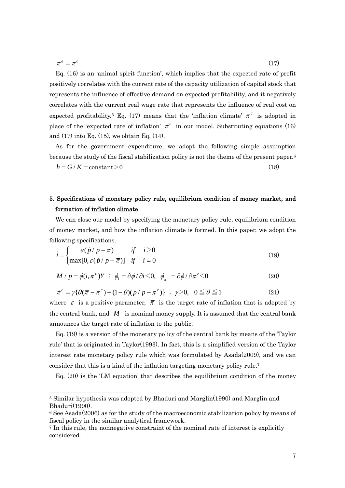$$
\pi^e = \pi^c \tag{17}
$$

Eq.  $(16)$  is an 'animal spirit function', which implies that the expected rate of profit positively correlates with the current rate of the capacity utilization of capital stock that represents the influence of effective demand on expected profitability, and it negatively correlates with the current real wage rate that represents the influence of real cost on expected profitability.<sup>5</sup> Eq. (17) means that the 'inflation climate'  $\pi^c$  is adopted in place of the 'expected rate of inflation'  $\pi^e$  in our model. Substituting equations (16) and  $(17)$  into Eq.  $(15)$ , we obtain Eq.  $(14)$ .

As for the government expenditure, we adopt the following simple assumption because the study of the fiscal stabilization policy is not the theme of the present paper.<sup>6</sup>  $h = G/K = \text{constant} > 0$  (18)

# . Specifications of monetary policy rule, equilibrium condition of money market, and 5 formation of inflation climate

of money market, and how the inflation climate is formed. In this paper, we adopt the We can close our model by specifying the monetary policy rule, equilibrium condition following specifications.

$$
\vec{i} = \begin{cases}\n\varepsilon(\dot{p}/p - \overline{\pi}) & \text{if } i > 0 \\
\max[0, \varepsilon(\dot{p}/p - \overline{\pi})] & \text{if } i = 0\n\end{cases}
$$
\n(19)

$$
M / p = \phi(i, \pi^c) Y \; ; \; \phi_i = \partial \phi / \partial i \langle 0, \phi_{\pi^c} = \partial \phi / \partial \pi^c \langle 0 \rangle \tag{20}
$$

$$
\dot{\pi}^c = \gamma \{ \theta(\overline{\pi} - \pi^c) + (1 - \theta)(\dot{p} / p - \pi^c) \} ; \ \gamma > 0, \ 0 \le \theta \le 1 \tag{21}
$$

where  $\varepsilon$  is a positive parameter,  $\bar{\pi}$  is the target rate of inflation that is adopted by the central bank, and  $M$  is nominal money supply. It is assumed that the central bank announces the target rate of inflation to the public.

 $Eq. (19)$  is a version of the monetary policy of the central bank by means of the 'Taylor' rule' that is originated in Taylor(1993). In fact, this is a simplified version of the Taylor interest rate monetary policy rule which was formulated by Asada(2009), and we can consider that this is a kind of the inflation targeting monetary policy rule.[7](#page-6-2)

Eq. (20) is the 'LM equation' that describes the equilibrium condition of the money

<span id="page-6-0"></span> <sup>5</sup> Similar hypothesis was adopted by Bhaduri and Marglin(1990) and Marglin and Bhaduri(1990).

<span id="page-6-1"></span> $6$  See Asada(2006) as for the study of the macroeconomic stabilization policy by means of fiscal policy in the similar analytical framework.

<span id="page-6-2"></span> $\frac{7}{1}$  In this rule, the nonnegative constraint of the nominal rate of interest is explicitly considered.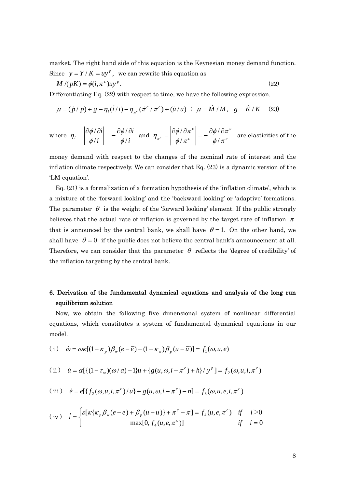m arket. The right hand side of this equation is the Keynesian money demand function. Since  $y = Y/K = uy^p$ , we can rewrite this equation as

$$
M/(pK) = \phi(i, \pi^c)uy^p.
$$
 (22)

Differentiating Eq. (22) with respect to time, we have the following expression.

$$
\mu = (\dot{p}/p) + g - \eta_i (\dot{i}/i) - \eta_{\pi^c} (\dot{\pi}^c / \pi^c) + (\dot{u}/u) \ ; \ \mu = \dot{M}/M, \ \ g = \dot{K}/K \quad (23)
$$

where 
$$
\eta_i = \left| \frac{\partial \phi / \partial i}{\phi / i} \right| = -\frac{\partial \phi / \partial i}{\phi / i}
$$
 and  $\eta_{\pi^c} = \left| \frac{\partial \phi / \partial \pi^c}{\phi / \pi^c} \right| = -\frac{\partial \phi / \partial \pi^c}{\phi / \pi^c}$  are elasticities of the

money demand with respect to the changes of the nominal rate of interest and the inflation climate respectively. We can consider that Eq. (23) is a dynamic version of the 'LM equation'.

 $Eq. (21)$  is a formalization of a formation hypothesis of the 'inflation climate', which is a mixture of the 'forward looking' and the 'backward looking' or 'adaptive' formations. The parameter  $\theta$  is the weight of the 'forward looking' element. If the public strongly believes that the actual rate of inflation is governed by the target rate of inflation  $\bar{\pi}$ that is announced by the central bank, we shall have  $\theta = 1$ . On the other hand, we shall have  $\theta = 0$  if the public does not believe the central bank's announcement at all. Therefore, we can consider that the parameter  $\theta$  reflects the 'degree of credibility' of the inflation targeting by the central bank.

# 6. Derivation of the fundamental dynamical equations and analysis of the long run equilibrium solution

Now, we obtain the following five dimensional system of nonlinear differential equations, which constitutes a system of fundamental dynamical equations in our model.

(i) 
$$
\dot{\omega} = \omega \kappa [(1 - \kappa_p) \beta_w (e - \overline{e}) - (1 - \kappa_w) \beta_p (u - \overline{u})] = f_1(\omega, u, e)
$$

(ii) 
$$
\dot{u} = \alpha [\{(1 - \tau_w)(\omega/a) - 1]u + \{g(u, \omega, i - \pi^c) + h\}/y^p] = f_2(\omega, u, i, \pi^c)
$$

(iii) 
$$
\dot{e} = e[{f_2(\omega, u, i, \pi^c)/u} + g(u, \omega, i - \pi^c) - n] = f_3(\omega, u, e, i, \pi^c)
$$

$$
\text{(iv)} \quad i = \begin{cases} \varepsilon [\kappa \{ \kappa_p \beta_w (e - \overline{e}) + \beta_p (u - \overline{u}) \} + \pi^c - \overline{\pi}] = f_4(u, e, \pi^c) & \text{if} \quad i > 0 \\ \max[0, f_4(u, e, \pi^c)] & \text{if} \quad i = 0 \end{cases}
$$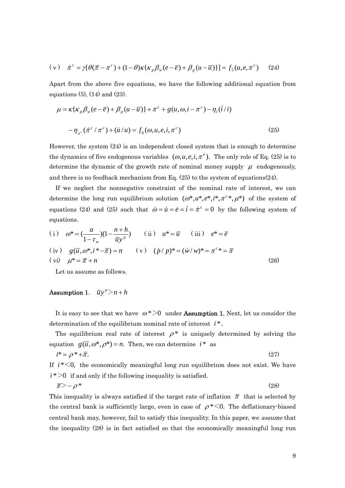$$
(\mathbf{v}) \quad \dot{\pi}^c = \gamma[\theta(\overline{\pi} - \pi^c) + (1 - \theta)\kappa\{\kappa_p \beta_w(e - \overline{e}) + \beta_p(u - \overline{u})\}] = f_5(u, e, \pi^c) \tag{24}
$$

Apart from the above five equations, we have the following additional equation from equations (5), (14) and (23).

$$
\mu = \kappa \{ \kappa_p \beta_w (e - \overline{e}) + \beta_p (u - \overline{u}) \} + \pi^c + g(u, \omega, i - \pi^c) - \eta_i (i/i)
$$

$$
- \eta_{\pi^c} (\pi^c / \pi^c) + (\dot{u}/u) = f_6(\omega, u, e, i, \pi^c)
$$
(25)

However, the system  $(24)$  is an independent closed system that is enough to determine the dynamics of five endogenous variables  $(\omega, u, e, i, \pi^e)$ . The only role of Eq. (25) is to determine the dynamic of the growth rate of nominal money supply  $\mu$  endogenously, and there is no feedback mechanism from Eq. (25) to the system of equations(24).

If we neglect the nonnegative constraint of the nominal rate of interest, we can determine the long run equilibrium solution  $(\omega^*, u^*, e^*, i^*, \pi^c^*, \mu^*)$  of the system of equations (24) and (25) such that  $\dot{\omega} = \dot{u} = \dot{e} = \dot{i} = \dot{\pi}^c = 0$  by the following system of equations.

(i) 
$$
\omega^* = \left(\frac{a}{1 - \tau_w}\right) (1 - \frac{n + h}{\overline{u}y^p})
$$
 (ii)  $u^* = \overline{u}$  (iii)  $e^* = \overline{e}$   
\n(iv)  $g(\overline{u}, \omega^*, i^* - \overline{\pi}) = n$  (v)  $(\dot{p}/p)^* = (\dot{w}/w)^* = \pi^c * = \overline{\pi}$   
\n(vi)  $\mu^* = \overline{\pi} + n$  (26)

Let us assume as follows.

## Assumption 1.  $\overline{u}y^p > n + h$

It is easy to see that we have  $\omega^*$  >0 under **Assumption 1.** Next, let us consider the determination of the equilibrium nominal rate of interest i<sup>\*</sup>.

The equilibrium real rate of interest  $\rho^*$  is uniquely determined by solving the equation  $g(\overline{u}, \omega^*, \rho^*) = n$ . Then, we can determine  $i^*$  as

$$
i^* = \rho^* + \overline{\pi}.\tag{27}
$$

 $i^*$  >0 if and only if the following inequality is satisfied. If  $i * < 0$ , the economically meaningful long run equilibrium does not exist. We have

$$
\overline{\pi} \rangle - \rho^* \tag{28}
$$

This inequality is always satisfied if the target rate of inflation  $\bar{\pi}$  that is selected by the central bank is sufficiently large, even in case of  $\rho^*$  <0. The deflationary-biased central bank may, however, fail to satisfy this inequality. In this paper, we assume that the inequality (28) is in fact satisfied so that the economically meaningful long run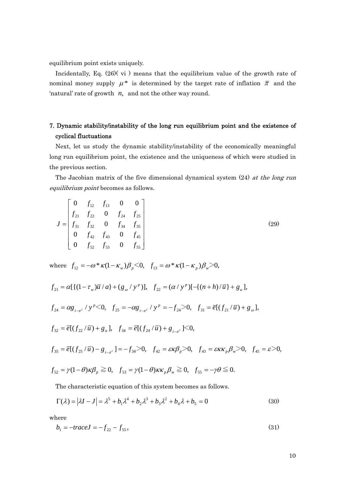equilibrium point exists uniquely.

Incidentally, Eq. (26)( vi ) means that the equilibrium value of the growth rate of nominal money supply  $\mu^*$  is determined by the target rate of inflation  $\bar{\pi}$  and the 'natural' rate of growth *n*, and not the other way round.

# 7. Dynamic stability/instability of the long run equilibrium point and the existence of cyclical fluctuations

Next, let us study the dynamic stability/instability of the economically meaningful th e previous section. long run equilibrium point, the existence and the uniqueness of which were studied in

The Jacobian matrix of the five dimensional dynamical system (24) at the long run equilibrium point becomes as follows.

$$
J = \begin{bmatrix} 0 & f_{12} & f_{13} & 0 & 0 \\ f_{21} & f_{22} & 0 & f_{24} & f_{25} \\ f_{31} & f_{32} & 0 & f_{34} & f_{35} \\ 0 & f_{42} & f_{43} & 0 & f_{45} \\ 0 & f_{52} & f_{53} & 0 & f_{55} \end{bmatrix}
$$
(29)

where  $f_{12} = -\omega^* \kappa (1 - \kappa_w) \beta_p \leq 0$ ,  $f_{13} = \omega^* \kappa (1 - \kappa_p) \beta_w \geq 0$ ,

$$
f_{21} = \alpha [\{ (1 - \tau_w)\overline{u} / a \} + (g_\omega / y^\nu)], \quad f_{22} = (\alpha / y^\nu) [-\{ (n + h) / \overline{u} \} + g_u],
$$
  
\n
$$
f_{24} = \alpha g_{i-\pi^c} / y^\nu < 0, \quad f_{25} = -\alpha g_{i-\pi^c} / y^\nu = -f_{24} > 0, \quad f_{31} = \overline{e} [(f_{21}/\overline{u}) + g_\omega],
$$
  
\n
$$
f_{32} = \overline{e} [(f_{22}/\overline{u}) + g_u], \quad f_{34} = \overline{e} [(f_{24}/\overline{u}) + g_{i-\pi^c}] < 0,
$$
  
\n
$$
f_{35} = \overline{e} [(f_{25}/\overline{u}) - g_{i-\pi^c}] = -f_{34} > 0, \quad f_{42} = \varepsilon \kappa \beta_\rho > 0, \quad f_{43} = \varepsilon \kappa \kappa_\rho \beta_\omega > 0, \quad f_{45} = \varepsilon > 0,
$$
  
\n
$$
f_{52} = \gamma (1 - \theta) \kappa \beta_\rho \ge 0, \quad f_{53} = \gamma (1 - \theta) \kappa \kappa_\rho \beta_\omega \ge 0, \quad f_{55} = -\gamma \theta \le 0.
$$

The characteristic equation of this system becomes as follows.

$$
\Gamma(\lambda) = |\lambda I - J| = \lambda^5 + b_1 \lambda^4 + b_2 \lambda^3 + b_3 \lambda^2 + b_4 \lambda + b_5 = 0
$$
\n(30)

where

$$
b_1 = -traceJ = -f_{22} - f_{55},\tag{31}
$$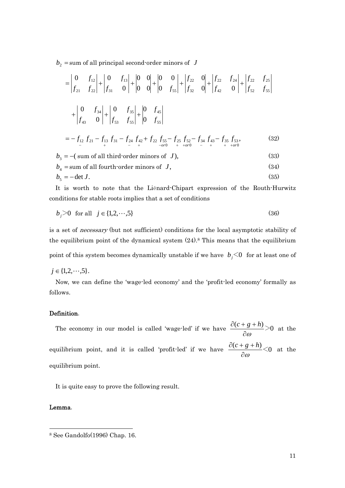$b_2$  = sum of all principal second-order minors of *J* 

$$
= \begin{vmatrix} 0 & f_{12} \\ f_{21} & f_{22} \end{vmatrix} + \begin{vmatrix} 0 & f_{13} \\ f_{31} & 0 \end{vmatrix} + \begin{vmatrix} 0 & 0 \\ 0 & 0 \end{vmatrix} + \begin{vmatrix} 0 & 0 \\ 0 & f_{55} \end{vmatrix} + \begin{vmatrix} f_{22} & 0 \\ f_{32} & 0 \end{vmatrix} + \begin{vmatrix} f_{22} & f_{24} \\ f_{42} & 0 \end{vmatrix} + \begin{vmatrix} f_{22} & f_{25} \\ f_{52} & f_{55} \end{vmatrix}
$$
  
+ 
$$
\begin{vmatrix} 0 & f_{34} \\ f_{43} & 0 \end{vmatrix} + \begin{vmatrix} 0 & f_{35} \\ f_{53} & f_{55} \end{vmatrix} + \begin{vmatrix} 0 & f_{45} \\ 0 & f_{55} \end{vmatrix}
$$
  
=  $-f_{12} f_{21} - f_{13} f_{31} - f_{24} f_{42} + f_{22} f_{55} - f_{25} f_{52} - f_{34} f_{43} - f_{35} f_{53},$  (32)  

$$
b_3 = -(\text{sum of all third-order minors of } J),
$$
 (33)  

$$
b_4 = \text{sum of all fourth-order minors of } J,
$$
 (34)

$$
b_4 = \text{sum of all fourth-order minors of } J,
$$
  
\n
$$
b_5 = -\det J.
$$
\n(34)

It is worth to note that the Liénard-Chipart expression of the Routh-Hurwitz conditions for stable roots implies that a set of conditions

$$
b_j > 0 \text{ for all } j \in \{1, 2, \cdots, 5\}
$$
 (36)

is a set of *necessary* (but not sufficient) conditions for the local asymptotic stability of the equilibrium point of the dynamical system  $(24)$ .<sup>8</sup> This means that the equilibrium point of this system becomes dynamically unstable if we have  $b_j$   $\leq$  0 for at least one of

$$
j\in\{1,2,\cdot\cdot\cdot,5\}.
$$

Now, we can define the 'wage-led economy' and the 'profit-led economy' formally as follows.

## Definition.

The economy in our model is called 'wage-led' if we have  $\frac{\partial (c + g + h)}{\partial (g + h)} > 0$ ∂<sup>ω</sup>  $\frac{\partial (c+g+h)}{\partial (g+h)} > 0$  at the equilibrium point, and it is called 'profit-led' if we have  $\frac{\partial (c+g+h)}{\partial} < 0$ ∂<sup>ω</sup>  $\frac{\partial (c+g+h)}{\partial (c+g)}$  at the equilibrium point.

It is quite easy to prove the following result.

## Lemma.

 $\overline{a}$ 

<span id="page-10-0"></span><sup>8</sup> See Gandolfo(1996) Chap. 16.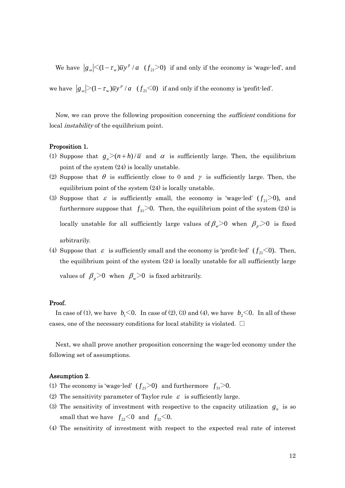We have  $|g_{\omega}| \leq (1 - \tau_{w}) \overline{u} y^{p} / a$  ( $f_{21} > 0$ ) if and only if the economy is 'wage-led', and we have  $|g_{\omega}|>(1-\tau_{w})\overline{u}y^{p}/a$  ( $f_{21}\leq 0$ ) if and only if the economy is 'profit-led'.

Now, we can prove the following proposition concerning the *sufficient* conditions for local *instability* of the equilibrium point.

### Proposition 1.

- (1) Suppose that  $g_u > (n + h)/\overline{u}$  and  $\alpha$  is sufficiently large. Then, the equilibrium point of the system (24) is locally unstable.
- (2) Suppose that  $\theta$  is sufficiently close to 0 and  $\gamma$  is sufficiently large. Then, the equilibrium point of the system  $(24)$  is locally unstable.
- (3) Suppose that  $\varepsilon$  is sufficiently small, the economy is 'wage-led'  $(f_{21} > 0)$ , and furthermore suppose that  $f_{31}$   $\geq$  0. Then, the equilibrium point of the system (24) is locally unstable for all sufficiently large values of  $\beta_{w}>0$  when  $\beta_{p}>0$  is fixed arbitrarily.
- (4) Suppose that  $\varepsilon$  is sufficiently small and the economy is 'profit-led'  $(f_{21} < 0)$ . Then, the equilibrium point of the system  $(24)$  is locally unstable for all sufficiently large

values of  $\beta_p$ >0 when  $\beta_w$ >0 is fixed arbitrarily.

### Proof.

In case of (1), we have  $b_1$ <0. In case of (2), (3) and (4), we have  $b_2$ <0. In all of these cases, one of the necessary conditions for local stability is violated.  $\square$ 

Next, we shall prove another proposition concerning the wage-led economy under the following set of assumptions.

#### Assumption 2.

- (1) The economy is 'wage-led'  $(f_{21} > 0)$  and furthermore  $f_{31} > 0$ .
- (2) The sensitivity parameter of Taylor rule  $\varepsilon$  is sufficiently large.
- (3) The sensitivity of investment with respective to the capacity utilization  $g_u$  is so small that we have  $f_{22} < 0$  and  $f_{32} < 0$ .
- (4) The sensitivity of investment with respect to the expected real rate of interest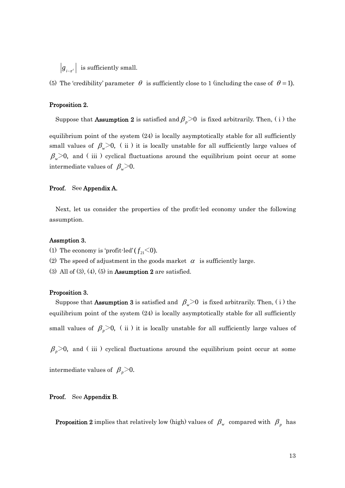$|g_{i,\pi}|$  is sufficiently small.

(5) The 'credibility' parameter  $\theta$  is sufficiently close to 1 (including the case of  $\theta = 1$ ).

## Proposition 2.

Suppose that **Assumption 2** is satisfied and  $\beta_p$  >0 is fixed arbitrarily. Then, (i) the

equilibrium point of the system (24) is locally asymptotically stable for all sufficiently small values of  $\beta_{w} > 0$ , (ii) it is locally unstable for all sufficiently large values of  $\beta_{w}$  and (iii) cyclical fluctuations around the equilibrium point occur at some intermediate values of  $\beta_{w}$  > 0.

## Proof. See Appendix A.

Next, let us consider the properties of the profit-led economy under the following assumption.

#### Assmption 3.

- (1) The economy is 'profit-led'  $(f_{21} < 0)$ .
- (2) The speed of adjustment in the goods market  $\alpha$  is sufficiently large.
- (3) All of (3), (4), (5) in **Assumption 2** are satisfied.

### Proposition 3.

Suppose that **Assumption 3** is satisfied and  $\beta_w$ >0 is fixed arbitrarily. Then, (i) the equilibrium point of the system (24) is locally asymptotically stable for all sufficiently small values of  $\beta_p > 0$ , (ii) it is locally unstable for all sufficiently large values of

 $\beta_p$  and (iii) cyclical fluctuations around the equilibrium point occur at some

intermediate values of  $\beta_p > 0$ .

#### Proof. See Appendix B.

**Proposition 2** implies that relatively low (high) values of  $\beta_w$  compared with  $\beta_p$  has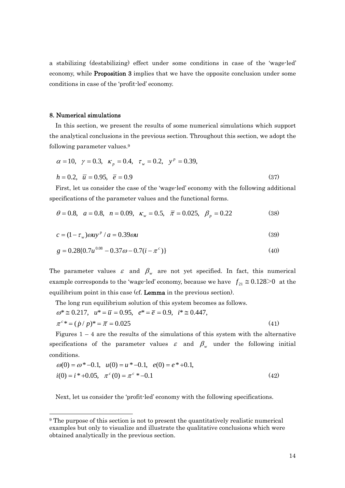a stabilizing (destabilizing) effect under some conditions in case of the 'wage-led' economy, while Proposition 3 implies that we have the opposite conclusion under some conditions in case of the 'profit-led' economy.

#### 8. Numerical simulations

In this section, we present the results of some numerical simulations which support the analytical conclusions in the previous section. Throughout this section, we adopt the following parameter values.<sup>9</sup>

$$
\alpha = 10, \ \gamma = 0.3, \ \kappa_p = 0.4, \ \tau_w = 0.2, \ \mathbf{y}^p = 0.39,
$$
  
\n $h = 0.2, \ \overline{u} = 0.95, \ \overline{e} = 0.9$  (37)

First, let us consider the case of the 'wage-led' economy with the following additional specifications of the parameter values and the functional forms.

$$
\theta = 0.8, \quad a = 0.8, \quad n = 0.09, \quad \kappa_w = 0.5, \quad \overline{\pi} = 0.025, \quad \beta_p = 0.22
$$
 (38)

$$
c = (1 - \tau_w)\omega u y^p / a = 0.39\omega u \tag{39}
$$

$$
g = 0.28\{0.7u^{0.08} - 0.37\omega - 0.7(i - \pi^c)\}\
$$
 (40)

The parameter values  $\varepsilon$  and  $\beta_w$  are not yet specified. In fact, this numerical example corresponds to the 'wage-led' economy, because we have  $f_{21} \approx 0.128 > 0$  at the equilibrium point in this case (cf. **Lemma** in the previous section).

The long run equilibrium solution of this system becomes as follows.

$$
\omega^* \approx 0.217, \quad u^* = \overline{u} = 0.95, \quad e^* = \overline{e} = 0.9, \quad i^* \approx 0.447, \pi^{c*} = (\dot{p}/p)^* = \overline{\pi} = 0.025
$$
\n(41)

Figures  $1 - 4$  are the results of the simulations of this system with the alternative specifications of the parameter values  $\varepsilon$  and  $\beta_w$  under the following initial conditions.

$$
\omega(0) = \omega^* - 0.1, \quad u(0) = u^* - 0.1, \quad e(0) = e^* + 0.1, \n i(0) = i^* + 0.05, \quad \pi^c(0) = \pi^c * -0.1
$$
\n(42)

Next, let us consider the 'profit-led' economy with the following specifications.

<span id="page-13-0"></span> <sup>9</sup> The purpose of this section is not to present the quantitatively realistic numerical examples but only to visualize and illustrate the qualitative conclusions which were obtained analytically in the previous section.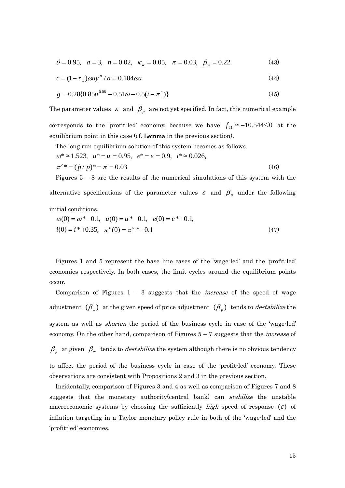$$
\theta = 0.95, \quad a = 3, \quad n = 0.02, \quad \kappa_w = 0.05, \quad \overline{\pi} = 0.03, \quad \beta_w = 0.22
$$
 (43)

$$
c = (1 - \tau_w)\omega u y^p / a = 0.104 \omega u \tag{44}
$$

$$
g = 0.28\{0.85u^{0.08} - 0.51\omega - 0.5(i - \pi^{c})\}\
$$
 (45)

The parameter values  $\varepsilon$  and  $\beta$ <sub>*p*</sub> are not yet specified. In fact, this numerical example corresponds to the 'profit-led' economy, because we have  $f_{21} \approx -10.544 \le 0$  at the equilibrium point in this case (cf. **Lemma** in the previous section).

The long run equilibrium solution of this system becomes as follows.

$$
\omega^* \approx 1.523, \quad u^* = \overline{u} = 0.95, \quad e^* = \overline{e} = 0.9, \quad i^* \approx 0.026,
$$
\n
$$
\pi^c{}^* = (\dot{p}/p)^* = \overline{\pi} = 0.03\tag{46}
$$

Figures  $5 - 8$  are the results of the numerical simulations of this system with the alternative specifications of the parameter values  $\varepsilon$  and  $\beta_p$  under the following initial conditions.

$$
\omega(0) = \omega^* - 0.1, \quad u(0) = u^* - 0.1, \quad e(0) = e^* + 0.1, \n i(0) = i^* + 0.35, \quad \pi^c(0) = \pi^c * -0.1
$$
\n(47)

Figures 1 and 5 represent the base line cases of the 'wage-led' and the 'profit-led' economies respectively. In both cases, the limit cycles around the equilibrium points occur.

Comparison of Figures  $1 - 3$  suggests that the *increase* of the speed of wage adjustment  $(\beta_w)$  at the given speed of price adjustment  $(\beta_p)$  tends to *destabilize* the system as well as *shorten* the period of the business cycle in case of the 'wage-led' economy. On the other hand, comparison of Figures  $5 - 7$  suggests that the *increase* of

 $\beta_{p}$  at given  $\beta_{w}$  tends to *destabilize* the system although there is no obvious tendency

to affect the period of the business cycle in case of the 'profit-led' economy. These  $\alpha$  observations are consistent with Propositions 2 and 3 in the previous section.

Incidentally, comparison of Figures 3 and 4 as well as comparison of Figures 7 and 8 suggests that the monetary authority (central bank) can *stabilize* the unstable macroeconomic systems by choosing the sufficiently high speed of response  $(\varepsilon)$  of inflation targeting in a Taylor monetary policy rule in both of the 'wage-led' and the 'profit-led' economies.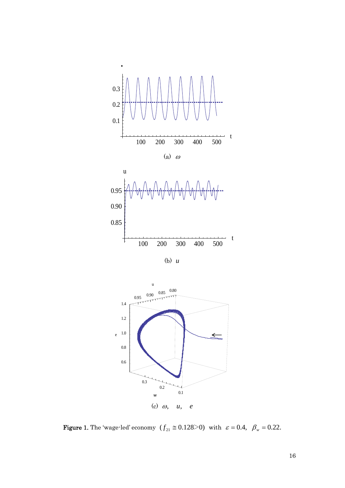

(b) *u*



Figure 1. The 'wage-led' economy  $(f_{21} \approx 0.128 > 0)$  with  $\varepsilon = 0.4$ ,  $\beta_w = 0.22$ .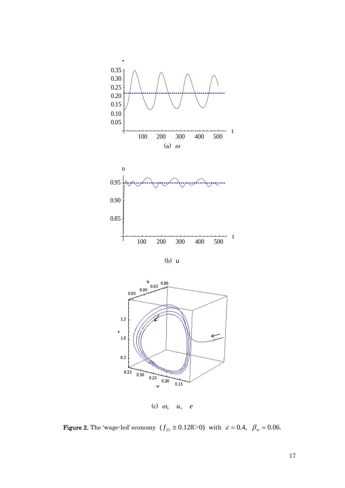

(b) *u*



(c) ω, *u*, *e*

Figure 2. The 'wage-led' economy  $(f_{21} \approx 0.128 > 0)$  with  $\varepsilon = 0.4$ ,  $\beta_w = 0.06$ .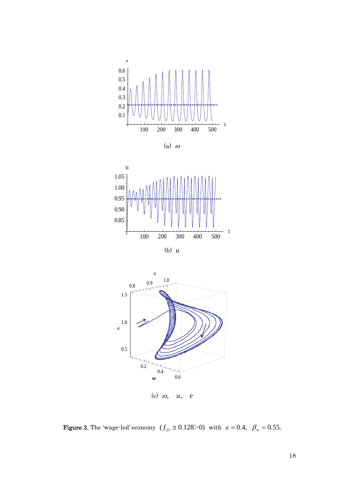







**Figure 3.** The 'wage-led' economy  $(f_{21} \approx 0.128 > 0)$  with  $\varepsilon = 0.4$ ,  $\beta_w = 0.55$ .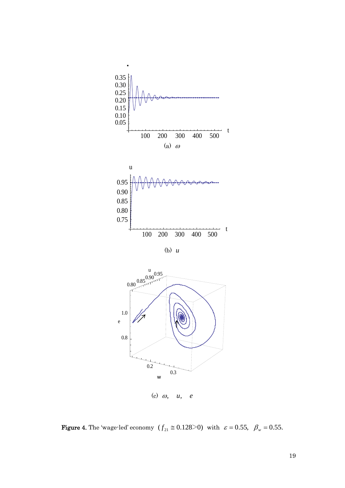

・



**Figure 4.** The 'wage-led' economy  $(f_{21} \approx 0.128 > 0)$  with  $\varepsilon = 0.55$ ,  $\beta_w = 0.55$ .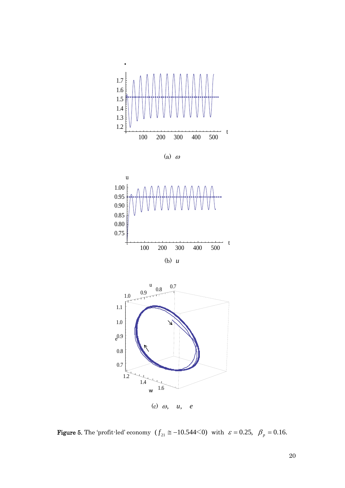

(a) <sup>ω</sup>





Figure 5. The 'profit-led' economy  $(f_{21} \approx -10.544<0)$  with  $\varepsilon = 0.25$ ,  $\beta_p = 0.16$ .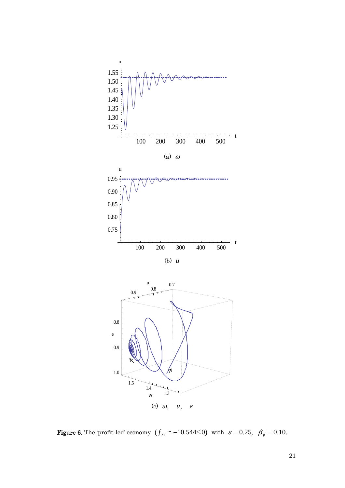

Figure 6. The 'profit-led' economy  $(f_{21} \approx -10.544 \le 0)$  with  $\varepsilon = 0.25$ ,  $\beta_p = 0.10$ .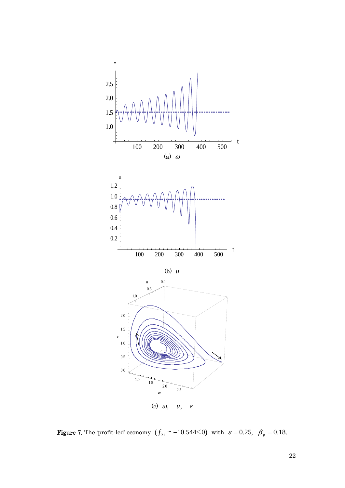

Figure 7. The 'profit-led' economy  $(f_{21} \approx -10.544 \le 0)$  with  $\varepsilon = 0.25$ ,  $\beta_p = 0.18$ .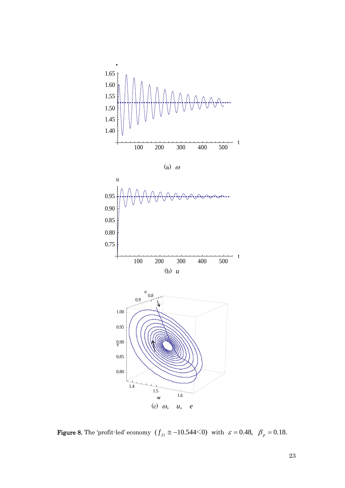





**Figure 8.** The 'profit-led' economy  $(f_{21} \approx -10.544 \le 0)$  with  $\varepsilon = 0.48$ ,  $\beta_p = 0.18$ .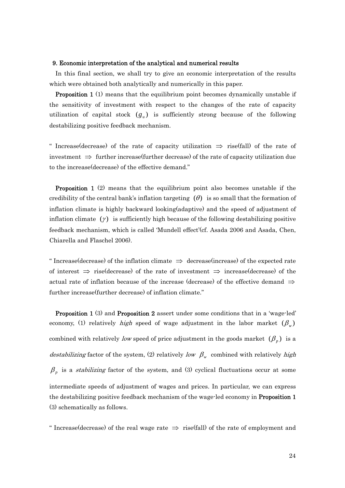#### 9. Economic interpretation of the analytical and numerical results

In this final section, we shall try to give an economic interpretation of the results which were obtained both analytically and numerically in this paper.

**Proposition 1** (1) means that the equilibrium point becomes dynamically unstable if the sensitivity of investment with respect to the changes of the rate of capacity utilization of capital stock  $(g_u)$  is sufficiently strong because of the following destabilizing positive feedback mechanism.

" Increase(decrease) of the rate of capacity utilization  $\Rightarrow$  rise(fall) of the rate of investment  $\Rightarrow$  further increase(further decrease) of the rate of capacity utilization due to the increase(decrease) of the effective demand."

 Proposition 1 (2) means that the equilibrium point also becomes unstable if the credibility of the central bank's inflation targeting  $(\theta)$  is so small that the formation of inflation climate is highly backward looking(adaptive) and the speed of adjustment of inflation climate  $(y)$  is sufficiently high because of the following destabilizing positive feedback mechanism, which is called 'Mundell effect' (cf. Asada 2006 and Asada, Chen, Chiarella and Flaschel 2006).

" Increase(decrease) of the inflation climate  $\Rightarrow$  decrease(increase) of the expected rate of interest  $\Rightarrow$  rise(decrease) of the rate of investment  $\Rightarrow$  increase(decrease) of the further increase(further decrease) of inflation climate." actual rate of inflation because of the increase (decrease) of the effective demand  $\Rightarrow$ 

 Proposition 1 (3) and Proposition 2 assert under some conditions that in a 'wage-led' economy, (1) relatively *high* speed of wage adjustment in the labor market  $(\beta_{\nu})$ combined with relatively low speed of price adjustment in the goods market  $(\beta_p)$  is a destabilizing factor of the system, (2) relatively low  $\beta_w$  combined with relatively high  $\beta$ <sub>*p*</sub> is a *stabilizing* factor of the system, and (3) cyclical fluctuations occur at some intermediate speeds of adjustment of wages and prices. In particular, we can express the destabilizing positive feedback mechanism of the wage-led economy in **Proposition 1** (3) schematically as follows.

" Increase(decrease) of the real wage rate  $\Rightarrow$  rise(fall) of the rate of employment and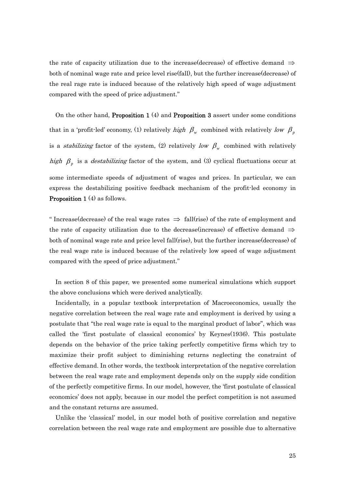the rate of capacity utilization due to the increase(decrease) of effective demand  $\Rightarrow$ both of nominal wage rate and price level rise(fall), but the further increase(decrease) of the real rage rate is induced because of the relatively high speed of wage adjustment compared with the speed of price adjustment."

On the other hand, Proposition 1 (4) and Proposition 3 assert under some conditions that in a 'profit-led' economy, (1) relatively high  $\beta_w$  combined with relatively low  $\beta_p$ is a *stabilizing* factor of the system, (2) relatively low  $\beta_{w}$  combined with relatively high  $\beta_p$  is a *destabilizing* factor of the system, and (3) cyclical fluctuations occur at some intermediate speeds of adjustment of wages and prices. In particular, we can express the destabilizing positive feedback mechanism of the profit-led economy in Proposition 1 (4) as follows.

" Increase(decrease) of the real wage rates  $\Rightarrow$  fall(rise) of the rate of employment and the rate of capacity utilization due to the decrease(increase) of effective demand  $\Rightarrow$ both of nominal wage rate and price level fall(rise), but the further increase(decreas e) of the real wage rate is induced because of the relatively low speed of wage adjustment compared with the speed of price adjustment."

In section 8 of this paper, we presented some numerical simulations which support the above conclusions which were derived analytically.

Incidentally, in a popular textbook interpretation of Macroeconomics, usually the negative correlation between the real wage rate and employment is derived by using a postulate that "the real wage rate is equal to the marginal product of labor", which was called the 'first postulate of classical economics' by Keynes(1936). This postulate effective demand. In other words, the textbook interpretation of the negative correlation between the real wage rate and employment depends only on the supply side condition economics' does not apply, because in our model the perfect competition is not assumed depends on the behavior of the price taking perfectly competitive firms which try to maximize their profit subject to diminishing returns neglecting the constraint of of the perfectly competitive firms. In our model, however, the 'first postulate of classical and the constant returns are assumed.

Unlike the 'classical' model, in our model both of positive correlation and negative correlation between the real wage rate and employment are possible due to alternative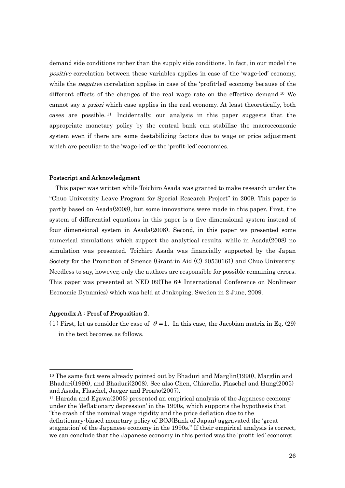demand side conditions rather than the supply side conditions. In fact, in our model the positive correlation between these variables applies in case of the 'wage-led' economy, while the *negative* correlation applies in case of the 'profit-led' economy because of the different effects of the changes of the real wage rate on the effective demand[.10](#page-25-0) We cannot say *a priori* which case applies in the real economy. At least theoretically, both cases are possible. [11](#page-25-1) Incidentally, our analysis in this paper suggests that the appropriate monetary policy by the central bank can stabilize the macroeconomic system even if there are some destabilizing factors due to wage or price adjustment w hich are peculiar to the 'wage-led' or the 'profit-led' economies.

#### P ostscript and Acknowledgment

simulation was presented. Toichiro Asada was financially supported by the Japan Society for the Promotion of Science (Grant-in Aid (C) 20530161) and Chuo University. Needless to say, however, only the authors are responsible for possible remaining errors. This paper was presented at NED 09(The 6<sup>th</sup> International Conference on Nonlinear This paper was written while Toichiro Asada was granted to make research under the "Chuo University Leave Program for Special Research Project" in 2009. This paper is partly based on Asada(2008), but some innovations were made in this paper. First, the system of differential equations in this paper is a five dimensional system instead of four dimensional system in Asada(2008). Second, in this paper we presented some numerical simulations which support the analytical results, while in Asada(2008) no Economic Dynamics) which was held at Jönköping, Sweden in 2 June, 2009.

## Appendix A : Proof of Proposition 2.

(i) First, let us consider the case of  $\theta = 1$ . In this case, the Jacobian matrix in Eq. (29) in the text becomes as follows.

<span id="page-25-0"></span> <sup>10</sup> The same fact were already pointed out by Bhaduri and Marglin(1990), Marglin and Bhaduri(1990), and Bhaduri(2008). See also Chen, Chiarella, Flaschel and Hung(2005) and Asada, Flaschel, Jaeger and Proańo(2007).

<span id="page-25-1"></span><sup>&</sup>lt;sup>11</sup> Harada and Egawa(2003) presented an empirical analysis of the Japanese economy under the 'deflationary depression' in the 1990s, which supports the hypothesis that "the crash of the nominal wage rigidity and the price deflation due to the deflationary-biased monetary policy of BOJ(Bank of Japan) aggravated the 'great

stagnation' of the Japanese economy in the 1990s." If their empirical analysis is correct, we can conclude that the Japanese economy in this period was the 'profit-led' economy.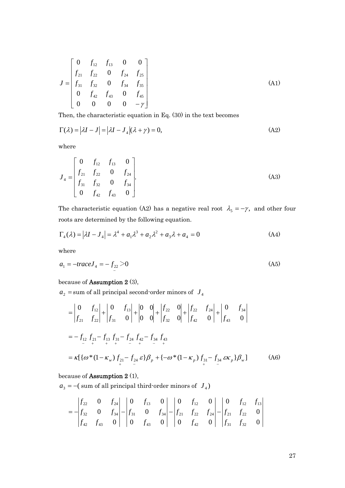$$
J = \begin{bmatrix} 0 & f_{12} & f_{13} & 0 & 0 \\ f_{21} & f_{22} & 0 & f_{24} & f_{25} \\ f_{31} & f_{32} & 0 & f_{34} & f_{35} \\ 0 & f_{42} & f_{43} & 0 & f_{45} \\ 0 & 0 & 0 & 0 & -\gamma \end{bmatrix}
$$
(A1)

Then, the characteristic equation in Eq. (30) in the text becomes

$$
\Gamma(\lambda) = |\lambda I - J| = |\lambda I - J_4|(\lambda + \gamma) = 0,
$$
\n(A2)

where

$$
J_4 = \begin{bmatrix} 0 & f_{12} & f_{13} & 0 \\ f_{21} & f_{22} & 0 & f_{24} \\ f_{31} & f_{32} & 0 & f_{34} \\ 0 & f_{42} & f_{43} & 0 \end{bmatrix}.
$$
 (A3)

The characteristic equation (A2) has a negative real root  $\lambda_5 = -\gamma$ , and other four roots are determined by the following equation.

$$
\Gamma_4(\lambda) = |\lambda I - J_4| = \lambda^4 + a_1 \lambda^3 + a_2 \lambda^2 + a_3 \lambda + a_4 = 0
$$
 (A4)

where

$$
a_1 = -\text{trace} J_4 = -f_{22} > 0 \tag{A5}
$$

because of Assumption 2 (3),

 $a_{\text{2}}$  = sum of all principal second-order minors of  $\ J_{\text{4}}$ 

$$
= \begin{vmatrix} 0 & f_{12} \\ f_{21} & f_{22} \end{vmatrix} + \begin{vmatrix} 0 & f_{13} \\ f_{31} & 0 \end{vmatrix} + \begin{vmatrix} 0 & 0 \\ 0 & 0 \end{vmatrix} + \begin{vmatrix} f_{22} & 0 \\ f_{32} & 0 \end{vmatrix} + \begin{vmatrix} f_{22} & f_{24} \\ f_{42} & 0 \end{vmatrix} + \begin{vmatrix} 0 & f_{34} \\ f_{43} & 0 \end{vmatrix}
$$
  
=  $-f_{12} f_{21} - f_{13} f_{31} - f_{24} f_{42} - f_{34} f_{43}$   
=  $\kappa [\{\omega^*(1-\kappa_w) f_{21} - f_{24} \epsilon\} \beta_{p} + \{-\omega^*(1-\kappa_p) f_{31} - f_{34} \epsilon \kappa_p\} \beta_{w}]$  (A6)

because of **Assumption 2** (1),

 $a_3 = -$  (sum of all principal third-order minors of  $J_4$ )

$$
= -\begin{vmatrix} f_{22} & 0 & f_{24} \\ f_{32} & 0 & f_{34} \\ f_{42} & f_{43} & 0 \end{vmatrix} - \begin{vmatrix} 0 & f_{13} & 0 \\ f_{31} & 0 & f_{34} \\ 0 & f_{43} & 0 \end{vmatrix} - \begin{vmatrix} 0 & f_{12} & 0 \\ f_{21} & f_{22} & f_{24} \\ 0 & f_{42} & 0 \end{vmatrix} - \begin{vmatrix} 0 & f_{12} & f_{13} \\ f_{21} & f_{22} & 0 \\ f_{31} & f_{32} & 0 \end{vmatrix}
$$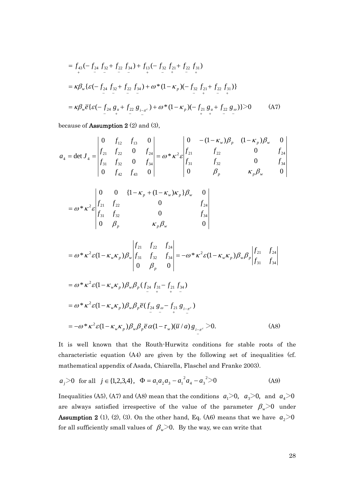$$
= f_{43}(-f_{24} f_{32} + f_{22} f_{34}) + f_{13}(-f_{32} f_{21} + f_{22} f_{31})
$$
  
\n
$$
= \kappa \beta_{w} \{ \varepsilon (-f_{24} f_{32} + f_{22} f_{34}) + \omega^{*} (1 - \kappa_{p}) (-f_{32} f_{21} + f_{22} f_{31}) \}
$$
  
\n
$$
= \kappa \beta_{w} \overline{e} \{ \varepsilon (-f_{24} g_{u} + f_{22} g_{i-\alpha} + f_{22} g_{i-\alpha} + f_{22} g_{u} + f_{22} g_{u}) \} > 0
$$
 (A7)

because of **Assumption 2**  $(2)$  and  $(3)$ ,

$$
a_4 = \det J_4 = \begin{vmatrix} 0 & f_{12} & f_{13} & 0 \\ f_{21} & f_{22} & 0 & f_{24} \\ f_{31} & f_{32} & 0 & f_{34} \\ 0 & f_{42} & f_{43} & 0 \end{vmatrix} = \omega^* \kappa^2 \varepsilon \begin{vmatrix} 0 & -(1 - \kappa_w) \beta_p & (1 - \kappa_p) \beta_w & 0 \\ f_{21} & f_{22} & 0 & f_{24} \\ f_{31} & f_{32} & 0 & f_{34} \\ 0 & \beta_p & \kappa_p \beta_w & 0 \end{vmatrix}
$$

$$
= \omega^* \kappa^2 \varepsilon \begin{vmatrix} 0 & 0 & \{1 - \kappa_p + (1 - \kappa_w) \kappa_p\} \beta_w & 0 \\ f_{21} & f_{22} & 0 & f_{24} \\ f_{31} & f_{32} & 0 & f_{34} \\ 0 & \beta_p & \kappa_p \beta_w & 0 \end{vmatrix}
$$

$$
= \omega^* \kappa^2 \varepsilon (1 - \kappa_w \kappa_p) \beta_w \begin{vmatrix} f_{21} & f_{22} & f_{24} \\ f_{31} & f_{32} & f_{34} \\ 0 & \beta_p & 0 \end{vmatrix} = -\omega^* \kappa^2 \varepsilon (1 - \kappa_w \kappa_p) \beta_w \beta_p \begin{vmatrix} f_{21} & f_{24} \\ f_{31} & f_{34} \end{vmatrix}
$$

$$
= \omega^* \kappa^2 \varepsilon (1 - \kappa_w \kappa_p) \beta_w \beta_p (f_{24} f_{31} - f_{21} f_{34})
$$
  
\n
$$
= \omega^* \kappa^2 \varepsilon (1 - \kappa_w \kappa_p) \beta_w \beta_p \bar{e} (f_{24} g_{\omega} - f_{21} g_{i-\pi^c})
$$
  
\n
$$
= -\omega^* \kappa^2 \varepsilon (1 - \kappa_w \kappa_p) \beta_w \beta_p \bar{e} \alpha (1 - \tau_w) (\bar{u}/a) g_{i-\pi^c} > 0.
$$
 (A8)

It is well known that the Routh-Hurwitz conditions for stable roots of the characteristic equation (A4) are given by the following set of inequalities (cf. mathematical appendix of Asada, Chiarella, Flaschel and Franke 2003).

$$
a_j > 0
$$
 for all  $j \in \{1, 2, 3, 4\}$ ,  $\Phi = a_1 a_2 a_3 - a_1^2 a_4 - a_3^2 > 0$  (A9)

Inequalities (A5), (A7) and (A8) mean that the conditions  $a_1 \geq 0$ ,  $a_3 \geq 0$ , and  $a_4 \geq 0$ are always satisfied irrespective of the value of the parameter  $\beta_{\rm w}\!\!>\!\!0$  under **Assumption 2** (1), (2), (3). On the other hand, Eq. (A6) means that we have  $a_2$  > 0 for all sufficiently small values of  $\beta_{w}$  >0. By the way, we can write that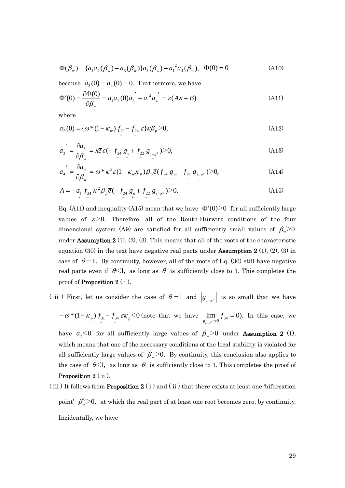$$
\Phi(\beta_w) = \{a_1 a_2 (\beta_w) - a_3 (\beta_w) \} a_3 (\beta_w) - a_1^2 a_4 (\beta_w), \quad \Phi(0) = 0 \tag{A10}
$$

because  $a_3(0) = a_4(0) = 0$ . Furthermore, we have

$$
\Phi'(0) = \frac{\partial \Phi(0)}{\partial \beta_w} = a_1 a_2 (0) a_3' - a_1^2 a_4' = \varepsilon (A\varepsilon + B)
$$
\n(A11)

where

$$
a_2(0) = \{ \omega^*(1 - \kappa_w) \int_{\gamma_{21}} f_{24} \varepsilon \} \kappa \beta_p > 0, \tag{A12}
$$

$$
a'_{3} = \frac{\partial a_{3}}{\partial \beta_{w}} = \kappa \overline{e} \, \varepsilon \, (-\, f_{24} \, g_{u} + f_{22} \, g_{i-\pi^{c}}) > 0,\tag{A13}
$$

$$
a_4' = \frac{\partial a_4}{\partial \beta_w} = \omega^* \kappa^2 \varepsilon (1 - \kappa_w \kappa_p) \beta_p \bar{e} (f_{24} g_{\omega} - f_{21} g_{i - \pi^c}) > 0, \tag{A14}
$$

$$
A = -a_1 f_{24} \kappa^2 \beta_p \bar{e} (-f_{24} g_u + f_{22} g_{i-\pi^c}) > 0.
$$
 (A15)

Eq. (A11) and inequality (A15) mean that we have  $\Phi'(0)$  for all sufficiently large values of  $\varepsilon > 0$ . Therefore, all of the Routh-Hurwitz conditions of the four dimensional system (A9) are satisfied for all sufficiently small values of  $\beta_{\scriptscriptstyle w}\!\!>\!0$ under **Assumption 2** (1), (2), (3). This means that all of the roots of the characteristic equation (30) in the text have negative real parts under **Assumption 2** (1), (2), (3) in case of  $\theta = 1$ . By continuity, however, all of the roots of Eq. (30) still have negative real parts even if  $\theta \leq 1$ , as long as  $\theta$  is sufficiently close to 1. This completes the proof of **Proposition 2**  $(i)$ .

( ii) First, let us consider the case of  $\theta = 1$  and  $g_{i-\pi^c}$  is so small that we have

$$
-\omega^*(1-\kappa_p) f_{31} - f_{34} \varepsilon \kappa_p \le 0
$$
 (note that we have  $\lim_{g_{i\to e^{-}} \to 0} f_{34} = 0$ ). In this case, we

have  $a_2$ <0 for all sufficiently large values of  $\beta_w$ >0 under **Assumption 2** (1), which means that one of the necessary conditions of the local stability is violated for all sufficiently large values of  $\beta_{w}$ >0. By continuity, this conclusion also applies to the case of  $\theta \leq 1$ , as long as  $\theta$  is sufficiently close to 1. This completes the proof of Proposition 2 (ii).

(iii) It follows from **Proposition 2** (i) and (ii) that there exists at least one 'bifurcation point'  $\beta_{w}^{0}$  >0, at which the real part of at least one root becomes zero, by continuity. Incidentally, we have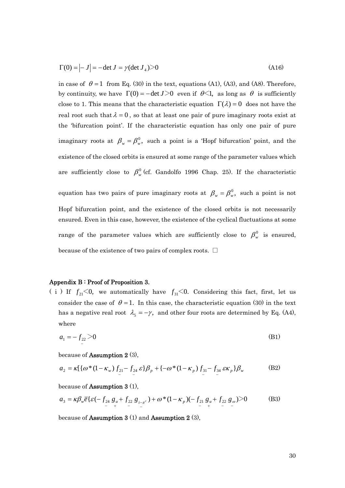$$
\Gamma(0) = \left| -J \right| = -\det J = \gamma (\det J_4) > 0 \tag{A16}
$$

in case of  $\theta = 1$  from Eq. (30) in the text, equations (A1), (A3), and (A8). Therefore, by continuity, we have  $\Gamma(0) = -\det J > 0$  even if  $\theta \leq 1$ , as long as  $\theta$  is sufficiently close to 1. This means that the characteristic equation  $\Gamma(\lambda) = 0$  does not have the real root such that  $\lambda = 0$ , so that at least one pair of pure imaginary roots exist at the 'bifurcation point'. If the characteristic equation has only one pair of pure imaginary roots at  $\beta_w = \beta_w^0$ , such a point is a 'Hopf bifurcation' point, and the existence of the closed orbits is ensured at some range of the parameter values which Hopf bifurcation point, and the existence of the closed orbits is not necessarily ensured. Even in this case, however, the existence of the cyclical fluctuations at some are sufficiently close to  $\beta_w^0$  (cf. Gandolfo 1996 Chap. 25). If the characteristic equation has two pairs of pure imaginary roots at  $\beta_w = \beta_w^0$ , such a point is not range of the parameter values which are sufficiently close to  $\beta_{w}^{0}$  is ensured, because of the existence of two pairs of complex roots.  $\square$ 

#### Ap pendix B : Proof of Proposition 3.

(i) If  $f_{21}$ <0, we automatically have  $f_{31}$ <0. Considering this fact, first, let us consider the case of  $\theta = 1$ . In this case, the characteristic equation (30) in the text has a negative real root  $\lambda_s = -\gamma$ , and other four roots are determined by Eq. (A4), where

$$
a_1 = -f_{22} > 0 \tag{B1}
$$

because of Assumption 2 (3),

$$
a_2 = \kappa \left[ \{ \omega^*(1 - \kappa_w) f_{21} - f_{24} \varepsilon \} \beta_p + \{ -\omega^*(1 - \kappa_p) f_{31} - f_{34} \varepsilon \kappa_p \} \beta_w \right] \tag{B2}
$$

because of Assumption 3 (1),

$$
a_3 = \kappa \beta_w \overline{e} \{ \varepsilon \left( -f_{24} g_u + f_{22} g_{i-\pi^c} \right) + \omega^* (1 - \kappa_p) \left( -f_{21} g_u + f_{22} g_\omega \right) > 0 \tag{B3}
$$

because of Assumption 3 (1) and Assumption 2 (3),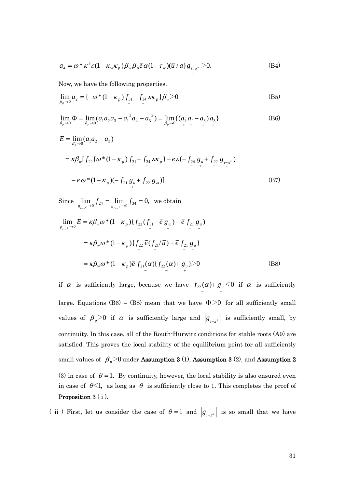$$
a_4 = \omega^* \kappa^2 \varepsilon (1 - \kappa_w \kappa_p) \beta_w \beta_p \overline{e} \alpha (1 - \tau_w) (\overline{u} / a) g_{i - \pi^e} > 0.
$$
 (B4)

Now, we have the following properties.

$$
\lim_{\beta_p \to 0} a_2 = \left\{ -\omega^* (1 - \kappa_p) f_{31} - f_{34} \, \varepsilon \kappa_p \right\} \beta_w > 0 \tag{B5}
$$

$$
\lim_{\beta_p \to 0} \Phi = \lim_{\beta_p \to 0} (a_1 a_2 a_3 - a_1^2 a_4 - a_3^2) = \lim_{\beta_p \to 0} \{ (a_1 a_2 - a_3) a_3 \}
$$
(B6)

$$
E = \lim_{\beta_p \to 0} (a_1 a_2 - a_3)
$$
  
=  $\kappa \beta_w [f_{22} {\omega * (1 - \kappa_p) f_{31} + f_{34} \varepsilon \kappa_p} - \overline{e} \varepsilon (-f_{24} g_u + f_{22} g_{i-\pi^c})$   

$$
- \overline{e} \omega * (1 - \kappa_p) (-f_{21} g_u + f_{22} g_\omega)]
$$
(B7)

Since  $\lim_{g_{i-x}c \to 0} f_{24} = \lim_{g_{i-x}c \to 0} f_{34} = 0$ ,  $g_{i-\pi}c \to 0$ <sup>c</sup>  $2\pi$ </sup>  $g_{i-\pi}c$ we obtain

$$
\lim_{g_{i-x^{c}} \to 0} E = \kappa \beta_{w} \omega^{*} (1 - \kappa_{p}) \{ f_{22} (f_{31} - \bar{e} g_{\omega}) + \bar{e} f_{21} g_{\omega} \}
$$
\n
$$
= \kappa \beta_{w} \omega^{*} (1 - \kappa_{p}) \{ f_{22} \bar{e} (f_{21}/\bar{u}) + \bar{e} f_{21} g_{\omega} \}
$$
\n
$$
= \kappa \beta_{w} \omega^{*} (1 - \kappa_{p}) \bar{e} f_{21} (\alpha) \{ f_{22} (\alpha) + g_{\omega} \} > 0
$$
\n(B8)

if  $\alpha$  is sufficiently large, because we have  $f_{22}(\alpha) + g_{\mu} < 0$  if  $\alpha$  is sufficiently large. Equations (B6) – (B8) mean that we have  $\Phi$  >0 for all sufficiently small values of  $\beta_p > 0$  if  $\alpha$  is sufficiently large and  $\left|g_{i-\pi^c}\right|$  is sufficiently small, by continuity. In this case, all of the Routh-Hurwitz conditions for stable roots (A9) are satisfied. This proves the local stability of the equilibrium point for all sufficiently small values of  $\beta_p$ >0 under Assumption 3 (1), Assumption 3 (2), and Assumption 2 (3) in case of  $\theta = 1$ . By continuity, however, the local stability is also ensured even in case of  $\theta \leq 1$ , as long as  $\theta$  is sufficiently close to 1. This completes the proof of Proposition 3 (i).

(ii) First, let us consider the case of  $\theta = 1$  and  $g_{i-\tau}$  is so small that we have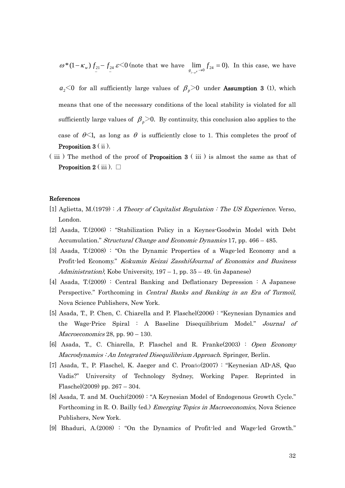$\omega^*(1 - \kappa_w) f_{21} - f_{24} \varepsilon \leq 0$  (note that we have  $\lim_{g_{i\to e^{-\lambda 0}}} f_{24} = 0$ ).  $f_{21} - f_{24}$   $\varepsilon$  < 0 (note that we have  $\lim_{g_{i-x} \to 0} f_{24} =$  $\lim_{g_{i-x^e} \to 0} f_{i^2} = 0$ . In this case, we have π

 $a_2$ <0 for all sufficiently large values of  $\beta_p$ >0 under **Assumption 3** (1), which means that one of the necessary conditions of the local stability is violated for all sufficiently large values of  $\beta_p$  >0. By continuity, this conclusion also applies to the case of  $\theta \leq 1$ , as long as  $\theta$  is sufficiently close to 1. This completes the proof of **Proposition 3** (ii).

(iii) The method of the proof of **Proposition 3** (iii) is almost the same as that of **Proposition 2** (iii).  $\Box$ 

#### References

- [1] Aglietta, M.(1979) : A Theory of Capitalist Regulation : The US Experience. Verso, London.
- [2] Asada,  $T(2006)$ : "Stabilization Policy in a Keynes-Goodwin Model with Debt Accumulation." Structural Change and Economic Dynamics 17, pp. 466 – 485.
- [3] Asada,  $T(2008)$ : "On the Dynamic Properties of a Wage-led Economy and a Profit-led Economy." Kokumin Keizai Zasshi(Journal of Economics and Business *Administration*), Kobe University,  $197 - 1$ , pp.  $35 - 49$ . (in Japanese)
- Perspective." Forthcoming in Central Banks and Banking in an Era of Turmoil, [4] Asada, T.(2009) : Central Banking and Deflationary Depression : A Japanese Nova Science Publishers, New York.
- [5] Asada, T., P. Chen, C. Chiarella and P. Flaschel(2006) : "Keynesian Dynamics and the Wage-Price Spiral : A Baseline Disequilibrium Model." Journal of  $$
- [6] Asada, T., C. Chiarella, P. Flaschel and R. Franke(2003) : Open Economy Macrodynamics : An Integrated Disequilibrium Approach. Springer, Berlin.
- F laschel(2009) pp. 267 304. [7] Asada, T., P. Flaschel, K. Jaeger and C. Proańo(2007) : "Keynesian AD-AS, Quo Vadis?" University of Technology Sydney, Working Paper. Reprinted in
- Forthcoming in R. O. Bailly (ed.) *Emerging Topics in Macroeconomics*, Nova Science [8] Asada, T. and M. Ouchi(2009) : "A Keynesian Model of Endogenous Growth Cycle." Publishers, New York.
- [9] Bhaduri, A.(2008) : "On the Dynamics of Profit-led and Wage-led Growth."